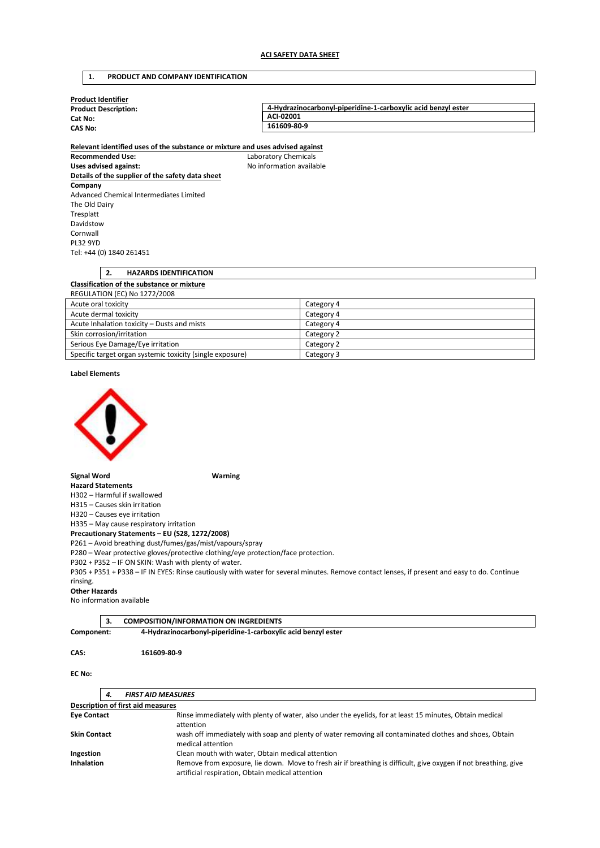### **1. PRODUCT AND COMPANY IDENTIFICATION**

| <b>Product Identifier</b>   |                                                               |
|-----------------------------|---------------------------------------------------------------|
| <b>Product Description:</b> | 4-Hydrazinocarbonyl-piperidine-1-carboxylic acid benzyl ester |
| Cat No:                     | ACI-02001                                                     |
| <b>CAS No:</b>              | 161609-80-9                                                   |
|                             |                                                               |

**Relevant identified uses of the substance or mixture and uses advised against Recommended Use:** Laboratory Chemicals Uses advised against: **No information available Details of the supplier of the safety data sheet Company**  Advanced Chemical Intermediates Limited The Old Dairy Tresplatt Davidstow Cornwall PL32 9YD Tel: +44 (0) 1840 261451

# **2. HAZARDS IDENTIFICATION Classification of the substance or mixture**  REGULATION (EC) No 1272/2008 Acute oral toxicity Category 4

| Acute dermal toxicity                                     | Category 4 |
|-----------------------------------------------------------|------------|
| Acute Inhalation toxicity - Dusts and mists               | Category 4 |
| Skin corrosion/irritation                                 | Category 2 |
| Serious Eye Damage/Eye irritation                         | Category 2 |
| Specific target organ systemic toxicity (single exposure) | Category 3 |

### **Label Elements**



#### **Signal Word Warning**

**Hazard Statements**  H302 – Harmful if swallowed

H315 – Causes skin irritation

H320 – Causes eye irritation

H335 – May cause respiratory irritation

**Precautionary Statements – EU (S28, 1272/2008)**  P261 – Avoid breathing dust/fumes/gas/mist/vapours/spray

P280 – Wear protective gloves/protective clothing/eye protection/face protection.

P302 + P352 – IF ON SKIN: Wash with plenty of water.

P305 + P351 + P338 – IF IN EYES: Rinse cautiously with water for several minutes. Remove contact lenses, if present and easy to do. Continue rinsing.

### **Other Hazards**

No information available

## **3. COMPOSITION/INFORMATION ON INGREDIENTS**

**Component: 4-Hydrazinocarbonyl-piperidine-1-carboxylic acid benzyl ester** 

### **CAS: 161609-80-9**

### **EC No:**

|                     | <b>FIRST AID MEASURES</b><br>4.          |                                                                                                                                                                     |
|---------------------|------------------------------------------|---------------------------------------------------------------------------------------------------------------------------------------------------------------------|
|                     | <b>Description of first aid measures</b> |                                                                                                                                                                     |
| <b>Eye Contact</b>  | attention                                | Rinse immediately with plenty of water, also under the eyelids, for at least 15 minutes, Obtain medical                                                             |
| <b>Skin Contact</b> | medical attention                        | wash off immediately with soap and plenty of water removing all contaminated clothes and shoes, Obtain                                                              |
| Ingestion           |                                          | Clean mouth with water, Obtain medical attention                                                                                                                    |
| <b>Inhalation</b>   |                                          | Remove from exposure, lie down. Move to fresh air if breathing is difficult, give oxygen if not breathing, give<br>artificial respiration, Obtain medical attention |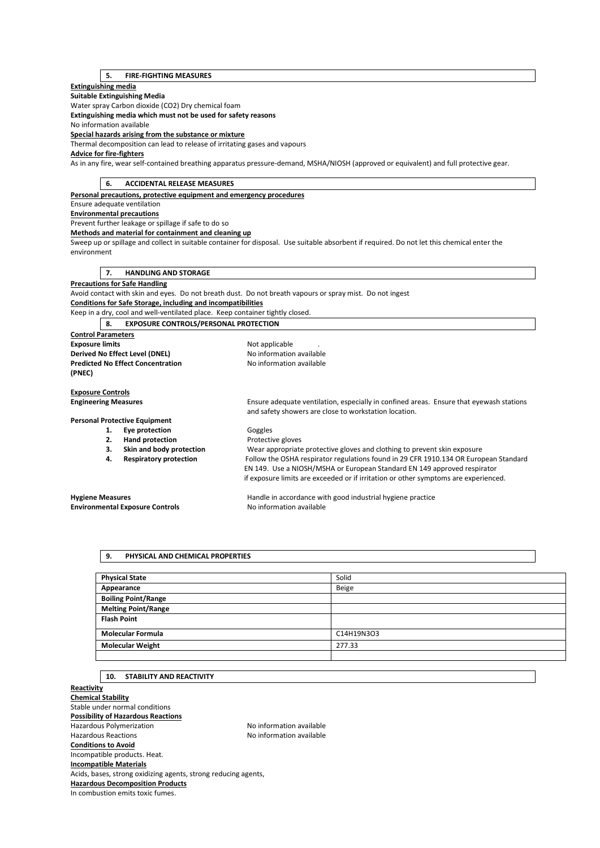## **5. FIRE-FIGHTING MEASURES**

## **Extinguishing media**

**Suitable Extinguishing Media**  Water spray Carbon dioxide (CO2) Dry chemical foam

**Extinguishing media which must not be used for safety reasons** 

No information available

**Special hazards arising from the substance or mixture** 

Thermal decomposition can lead to release of irritating gases and vapours

## **Advice for fire-fighters**

As in any fire, wear self-contained breathing apparatus pressure-demand, MSHA/NIOSH (approved or equivalent) and full protective gear.

| <b>ACCIDENTAL RELEASE MEASURES</b><br>6.                                      |                                                                                                                                             |
|-------------------------------------------------------------------------------|---------------------------------------------------------------------------------------------------------------------------------------------|
| Personal precautions, protective equipment and emergency procedures           |                                                                                                                                             |
| Ensure adequate ventilation                                                   |                                                                                                                                             |
| <b>Environmental precautions</b>                                              |                                                                                                                                             |
| Prevent further leakage or spillage if safe to do so                          |                                                                                                                                             |
| Methods and material for containment and cleaning up                          |                                                                                                                                             |
|                                                                               | Sweep up or spillage and collect in suitable container for disposal. Use suitable absorbent if required. Do not let this chemical enter the |
| environment                                                                   |                                                                                                                                             |
| <b>HANDLING AND STORAGE</b><br>7.                                             |                                                                                                                                             |
|                                                                               |                                                                                                                                             |
| <b>Precautions for Safe Handling</b>                                          | Avoid contact with skin and eyes. Do not breath dust. Do not breath vapours or spray mist. Do not ingest                                    |
| Conditions for Safe Storage, including and incompatibilities                  |                                                                                                                                             |
| Keep in a dry, cool and well-ventilated place. Keep container tightly closed. |                                                                                                                                             |
| <b>EXPOSURE CONTROLS/PERSONAL PROTECTION</b><br>8.                            |                                                                                                                                             |
|                                                                               |                                                                                                                                             |
| <b>Control Parameters</b><br><b>Exposure limits</b>                           |                                                                                                                                             |
| Derived No Effect Level (DNEL)                                                | Not applicable<br>No information available                                                                                                  |
| <b>Predicted No Effect Concentration</b>                                      | No information available                                                                                                                    |
| (PNEC)                                                                        |                                                                                                                                             |
|                                                                               |                                                                                                                                             |
| <b>Exposure Controls</b>                                                      |                                                                                                                                             |
| <b>Engineering Measures</b>                                                   | Ensure adequate ventilation, especially in confined areas. Ensure that eyewash stations                                                     |
|                                                                               | and safety showers are close to workstation location.                                                                                       |
| <b>Personal Protective Equipment</b>                                          |                                                                                                                                             |
| Eye protection<br>1.                                                          | Goggles                                                                                                                                     |
| <b>Hand protection</b><br>2.                                                  | Protective gloves                                                                                                                           |
| Skin and body protection<br>3.                                                | Wear appropriate protective gloves and clothing to prevent skin exposure                                                                    |
| <b>Respiratory protection</b><br>4.                                           | Follow the OSHA respirator regulations found in 29 CFR 1910.134 OR European Standard                                                        |
|                                                                               | EN 149. Use a NIOSH/MSHA or European Standard EN 149 approved respirator                                                                    |
|                                                                               | if exposure limits are exceeded or if irritation or other symptoms are experienced.                                                         |
| <b>Hygiene Measures</b>                                                       | Handle in accordance with good industrial hygiene practice                                                                                  |
| <b>Environmental Exposure Controls</b>                                        | No information available                                                                                                                    |
|                                                                               |                                                                                                                                             |

## **9. PHYSICAL AND CHEMICAL PROPERTIES**

| <b>Physical State</b>      | Solid        |
|----------------------------|--------------|
| Appearance                 | <b>Beige</b> |
| <b>Boiling Point/Range</b> |              |
| <b>Melting Point/Range</b> |              |
| <b>Flash Point</b>         |              |
| <b>Molecular Formula</b>   | C14H19N3O3   |
| <b>Molecular Weight</b>    | 277.33       |
|                            |              |

## **10. STABILITY AND REACTIVITY**

**Reactivity Chemical Stability**  Stable under normal conditions **Possibility of Hazardous Reactions**  Hazardous Polymerization and the Society of the No information available<br>Hazardous Reactions available No information available No information available **Conditions to Avoid**  Incompatible products. Heat. **Incompatible Materials**  Acids, bases, strong oxidizing agents, strong reducing agents, **Hazardous Decomposition Products**  In combustion emits toxic fumes.